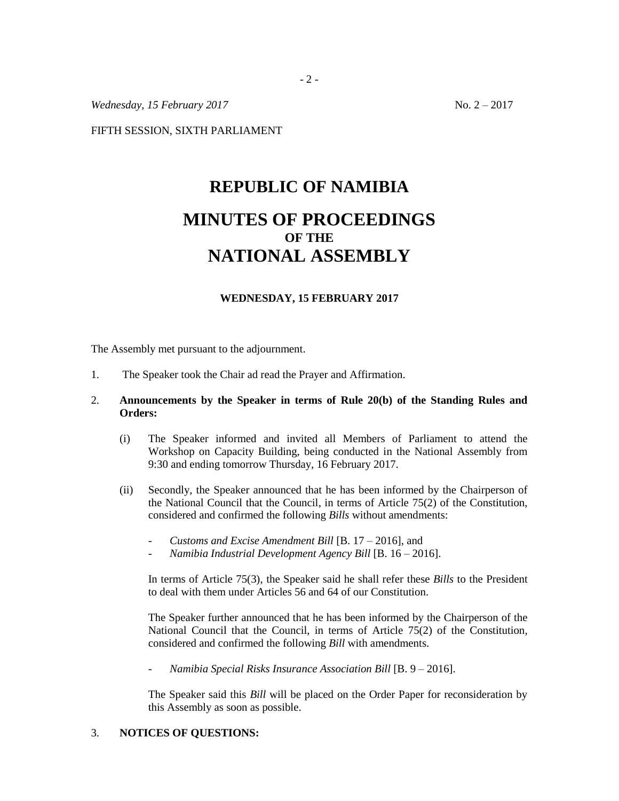*Wednesday, 15 February 2017* No. 2 – 2017

FIFTH SESSION, SIXTH PARLIAMENT

## **REPUBLIC OF NAMIBIA MINUTES OF PROCEEDINGS OF THE NATIONAL ASSEMBLY**

## **WEDNESDAY, 15 FEBRUARY 2017**

The Assembly met pursuant to the adjournment.

- 1. The Speaker took the Chair ad read the Prayer and Affirmation.
- 2. **Announcements by the Speaker in terms of Rule 20(b) of the Standing Rules and Orders:** 
	- (i) The Speaker informed and invited all Members of Parliament to attend the Workshop on Capacity Building, being conducted in the National Assembly from 9:30 and ending tomorrow Thursday, 16 February 2017.
	- (ii) Secondly, the Speaker announced that he has been informed by the Chairperson of the National Council that the Council, in terms of Article 75(2) of the Constitution, considered and confirmed the following *Bills* without amendments:
		- *Customs and Excise Amendment Bill* [B. 17 2016], and
		- *Namibia Industrial Development Agency Bill* [B. 16 2016].

In terms of Article 75(3), the Speaker said he shall refer these *Bills* to the President to deal with them under Articles 56 and 64 of our Constitution.

The Speaker further announced that he has been informed by the Chairperson of the National Council that the Council, in terms of Article 75(2) of the Constitution, considered and confirmed the following *Bill* with amendments.

- *Namibia Special Risks Insurance Association Bill* [B. 9 – 2016].

The Speaker said this *Bill* will be placed on the Order Paper for reconsideration by this Assembly as soon as possible.

## 3. **NOTICES OF QUESTIONS:**